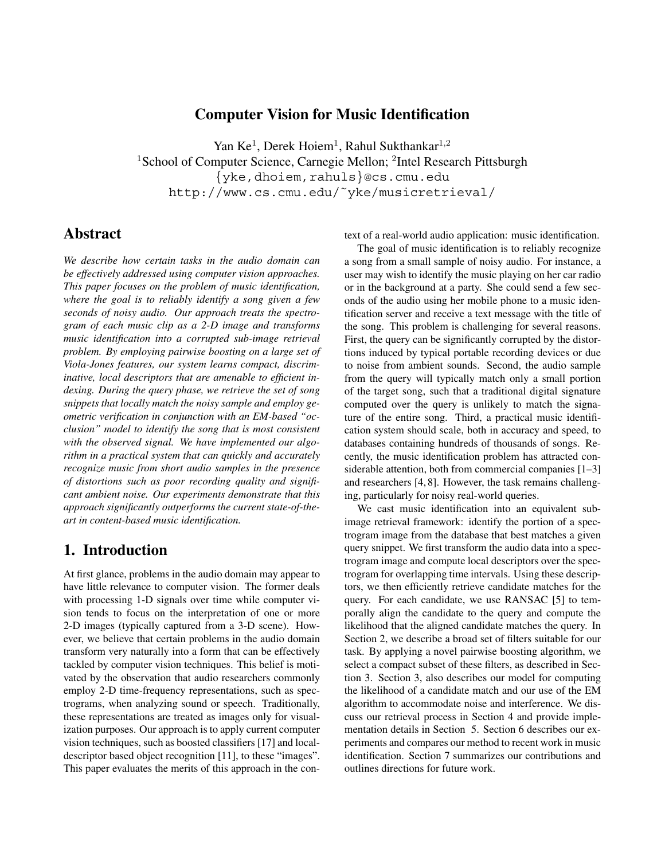# **Computer Vision for Music Identification**

Yan Ke<sup>1</sup>, Derek Hoiem<sup>1</sup>, Rahul Sukthankar<sup>1,2</sup> <sup>1</sup>School of Computer Science, Carnegie Mellon; <sup>2</sup>Intel Research Pittsburgh {yke,dhoiem,rahuls}@cs.cmu.edu http://www.cs.cmu.edu/˜yke/musicretrieval/

# **Abstract**

*We describe how certain tasks in the audio domain can be effectively addressed using computer vision approaches. This paper focuses on the problem of music identification, where the goal is to reliably identify a song given a few seconds of noisy audio. Our approach treats the spectrogram of each music clip as a 2-D image and transforms music identification into a corrupted sub-image retrieval problem. By employing pairwise boosting on a large set of Viola-Jones features, our system learns compact, discriminative, local descriptors that are amenable to efficient indexing. During the query phase, we retrieve the set of song snippets that locally match the noisy sample and employ geometric verification in conjunction with an EM-based "occlusion" model to identify the song that is most consistent with the observed signal. We have implemented our algorithm in a practical system that can quickly and accurately recognize music from short audio samples in the presence of distortions such as poor recording quality and significant ambient noise. Our experiments demonstrate that this approach significantly outperforms the current state-of-theart in content-based music identification.*

## **1. Introduction**

At first glance, problems in the audio domain may appear to have little relevance to computer vision. The former deals with processing 1-D signals over time while computer vision tends to focus on the interpretation of one or more 2-D images (typically captured from a 3-D scene). However, we believe that certain problems in the audio domain transform very naturally into a form that can be effectively tackled by computer vision techniques. This belief is motivated by the observation that audio researchers commonly employ 2-D time-frequency representations, such as spectrograms, when analyzing sound or speech. Traditionally, these representations are treated as images only for visualization purposes. Our approach is to apply current computer vision techniques, such as boosted classifiers [17] and localdescriptor based object recognition [11], to these "images". This paper evaluates the merits of this approach in the context of a real-world audio application: music identification.

The goal of music identification is to reliably recognize a song from a small sample of noisy audio. For instance, a user may wish to identify the music playing on her car radio or in the background at a party. She could send a few seconds of the audio using her mobile phone to a music identification server and receive a text message with the title of the song. This problem is challenging for several reasons. First, the query can be significantly corrupted by the distortions induced by typical portable recording devices or due to noise from ambient sounds. Second, the audio sample from the query will typically match only a small portion of the target song, such that a traditional digital signature computed over the query is unlikely to match the signature of the entire song. Third, a practical music identification system should scale, both in accuracy and speed, to databases containing hundreds of thousands of songs. Recently, the music identification problem has attracted considerable attention, both from commercial companies [1–3] and researchers [4, 8]. However, the task remains challenging, particularly for noisy real-world queries.

We cast music identification into an equivalent subimage retrieval framework: identify the portion of a spectrogram image from the database that best matches a given query snippet. We first transform the audio data into a spectrogram image and compute local descriptors over the spectrogram for overlapping time intervals. Using these descriptors, we then efficiently retrieve candidate matches for the query. For each candidate, we use RANSAC [5] to temporally align the candidate to the query and compute the likelihood that the aligned candidate matches the query. In Section 2, we describe a broad set of filters suitable for our task. By applying a novel pairwise boosting algorithm, we select a compact subset of these filters, as described in Section 3. Section 3, also describes our model for computing the likelihood of a candidate match and our use of the EM algorithm to accommodate noise and interference. We discuss our retrieval process in Section 4 and provide implementation details in Section 5. Section 6 describes our experiments and compares our method to recent work in music identification. Section 7 summarizes our contributions and outlines directions for future work.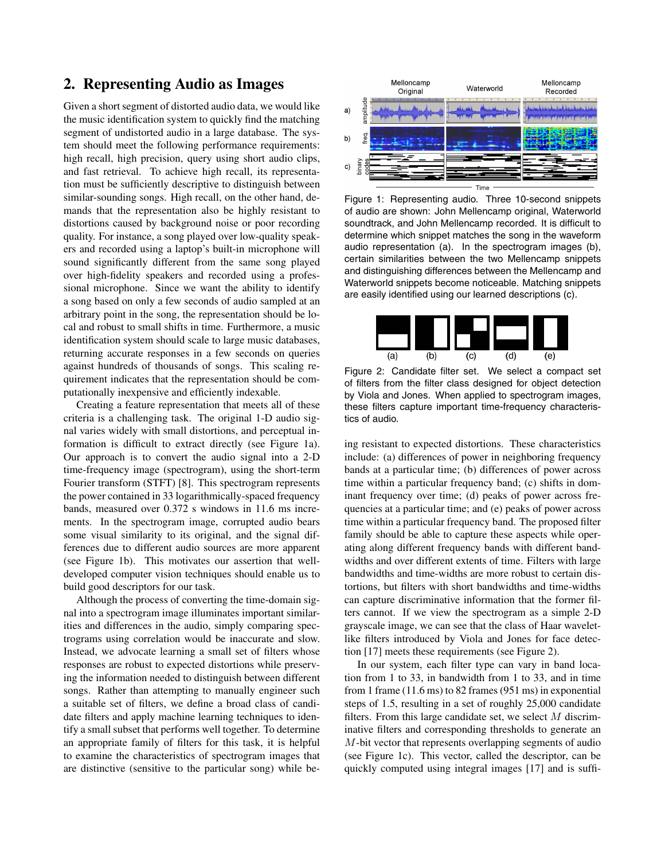# **2. Representing Audio as Images**

Given a short segment of distorted audio data, we would like the music identification system to quickly find the matching segment of undistorted audio in a large database. The system should meet the following performance requirements: high recall, high precision, query using short audio clips, and fast retrieval. To achieve high recall, its representation must be sufficiently descriptive to distinguish between similar-sounding songs. High recall, on the other hand, demands that the representation also be highly resistant to distortions caused by background noise or poor recording quality. For instance, a song played over low-quality speakers and recorded using a laptop's built-in microphone will sound significantly different from the same song played over high-fidelity speakers and recorded using a professional microphone. Since we want the ability to identify a song based on only a few seconds of audio sampled at an arbitrary point in the song, the representation should be local and robust to small shifts in time. Furthermore, a music identification system should scale to large music databases, returning accurate responses in a few seconds on queries against hundreds of thousands of songs. This scaling requirement indicates that the representation should be computationally inexpensive and efficiently indexable.

Creating a feature representation that meets all of these criteria is a challenging task. The original 1-D audio signal varies widely with small distortions, and perceptual information is difficult to extract directly (see Figure 1a). Our approach is to convert the audio signal into a 2-D time-frequency image (spectrogram), using the short-term Fourier transform (STFT) [8]. This spectrogram represents the power contained in 33 logarithmically-spaced frequency bands, measured over 0.372 s windows in 11.6 ms increments. In the spectrogram image, corrupted audio bears some visual similarity to its original, and the signal differences due to different audio sources are more apparent (see Figure 1b). This motivates our assertion that welldeveloped computer vision techniques should enable us to build good descriptors for our task.

Although the process of converting the time-domain signal into a spectrogram image illuminates important similarities and differences in the audio, simply comparing spectrograms using correlation would be inaccurate and slow. Instead, we advocate learning a small set of filters whose responses are robust to expected distortions while preserving the information needed to distinguish between different songs. Rather than attempting to manually engineer such a suitable set of filters, we define a broad class of candidate filters and apply machine learning techniques to identify a small subset that performs well together. To determine an appropriate family of filters for this task, it is helpful to examine the characteristics of spectrogram images that are distinctive (sensitive to the particular song) while be-



Figure 1: Representing audio. Three 10-second snippets of audio are shown: John Mellencamp original, Waterworld soundtrack, and John Mellencamp recorded. It is difficult to determine which snippet matches the song in the waveform audio representation (a). In the spectrogram images (b), certain similarities between the two Mellencamp snippets and distinguishing differences between the Mellencamp and Waterworld snippets become noticeable. Matching snippets are easily identified using our learned descriptions (c).



Figure 2: Candidate filter set. We select a compact set of filters from the filter class designed for object detection by Viola and Jones. When applied to spectrogram images, these filters capture important time-frequency characteristics of audio.

ing resistant to expected distortions. These characteristics include: (a) differences of power in neighboring frequency bands at a particular time; (b) differences of power across time within a particular frequency band; (c) shifts in dominant frequency over time; (d) peaks of power across frequencies at a particular time; and (e) peaks of power across time within a particular frequency band. The proposed filter family should be able to capture these aspects while operating along different frequency bands with different bandwidths and over different extents of time. Filters with large bandwidths and time-widths are more robust to certain distortions, but filters with short bandwidths and time-widths can capture discriminative information that the former filters cannot. If we view the spectrogram as a simple 2-D grayscale image, we can see that the class of Haar waveletlike filters introduced by Viola and Jones for face detection [17] meets these requirements (see Figure 2).

In our system, each filter type can vary in band location from 1 to 33, in bandwidth from 1 to 33, and in time from 1 frame (11.6 ms) to 82 frames (951 ms) in exponential steps of 1.5, resulting in a set of roughly 25,000 candidate filters. From this large candidate set, we select  $M$  discriminative filters and corresponding thresholds to generate an M-bit vector that represents overlapping segments of audio (see Figure 1c). This vector, called the descriptor, can be quickly computed using integral images [17] and is suffi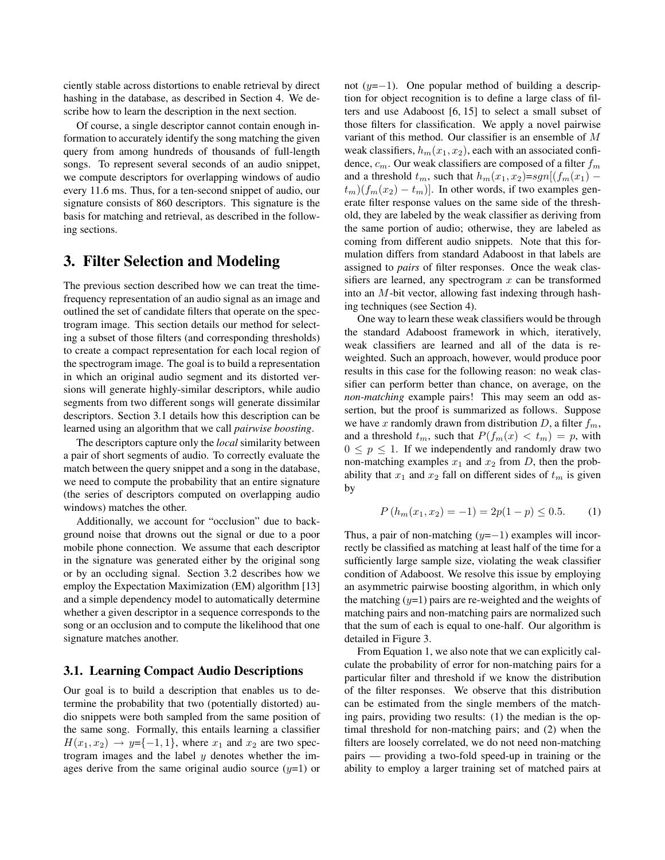ciently stable across distortions to enable retrieval by direct hashing in the database, as described in Section 4. We describe how to learn the description in the next section.

Of course, a single descriptor cannot contain enough information to accurately identify the song matching the given query from among hundreds of thousands of full-length songs. To represent several seconds of an audio snippet, we compute descriptors for overlapping windows of audio every 11.6 ms. Thus, for a ten-second snippet of audio, our signature consists of 860 descriptors. This signature is the basis for matching and retrieval, as described in the following sections.

## **3. Filter Selection and Modeling**

The previous section described how we can treat the timefrequency representation of an audio signal as an image and outlined the set of candidate filters that operate on the spectrogram image. This section details our method for selecting a subset of those filters (and corresponding thresholds) to create a compact representation for each local region of the spectrogram image. The goal is to build a representation in which an original audio segment and its distorted versions will generate highly-similar descriptors, while audio segments from two different songs will generate dissimilar descriptors. Section 3.1 details how this description can be learned using an algorithm that we call *pairwise boosting*.

The descriptors capture only the *local* similarity between a pair of short segments of audio. To correctly evaluate the match between the query snippet and a song in the database, we need to compute the probability that an entire signature (the series of descriptors computed on overlapping audio windows) matches the other.

Additionally, we account for "occlusion" due to background noise that drowns out the signal or due to a poor mobile phone connection. We assume that each descriptor in the signature was generated either by the original song or by an occluding signal. Section 3.2 describes how we employ the Expectation Maximization (EM) algorithm [13] and a simple dependency model to automatically determine whether a given descriptor in a sequence corresponds to the song or an occlusion and to compute the likelihood that one signature matches another.

#### **3.1. Learning Compact Audio Descriptions**

Our goal is to build a description that enables us to determine the probability that two (potentially distorted) audio snippets were both sampled from the same position of the same song. Formally, this entails learning a classifier  $H(x_1, x_2) \rightarrow y=\{-1, 1\}$ , where  $x_1$  and  $x_2$  are two spectrogram images and the label  $y$  denotes whether the images derive from the same original audio source  $(y=1)$  or

not  $(y=-1)$ . One popular method of building a description for object recognition is to define a large class of filters and use Adaboost [6, 15] to select a small subset of those filters for classification. We apply a novel pairwise variant of this method. Our classifier is an ensemble of M weak classifiers,  $h_m(x_1, x_2)$ , each with an associated confidence, <sup>c</sup>*m*. Our weak classifiers are composed of a filter <sup>f</sup>*<sup>m</sup>* and a threshold  $t_m$ , such that  $h_m(x_1, x_2) = sgn[(f_m(x_1)$  $t_m$ )( $f_m(x_2) - t_m$ )]. In other words, if two examples generate filter response values on the same side of the threshold, they are labeled by the weak classifier as deriving from the same portion of audio; otherwise, they are labeled as coming from different audio snippets. Note that this formulation differs from standard Adaboost in that labels are assigned to *pairs* of filter responses. Once the weak classifiers are learned, any spectrogram  $x$  can be transformed into an M-bit vector, allowing fast indexing through hashing techniques (see Section 4).

One way to learn these weak classifiers would be through the standard Adaboost framework in which, iteratively, weak classifiers are learned and all of the data is reweighted. Such an approach, however, would produce poor results in this case for the following reason: no weak classifier can perform better than chance, on average, on the *non-matching* example pairs! This may seem an odd assertion, but the proof is summarized as follows. Suppose we have x randomly drawn from distribution  $D$ , a filter  $f_m$ , and a threshold  $t_m$ , such that  $P(f_m(x) < t_m) = p$ , with  $0 \leq p \leq 1$ . If we independently and randomly draw two non-matching examples  $x_1$  and  $x_2$  from D, then the probability that  $x_1$  and  $x_2$  fall on different sides of  $t_m$  is given by

$$
P(h_m(x_1, x_2) = -1) = 2p(1 - p) \le 0.5.
$$
 (1)

Thus, a pair of non-matching  $(y=-1)$  examples will incorrectly be classified as matching at least half of the time for a sufficiently large sample size, violating the weak classifier condition of Adaboost. We resolve this issue by employing an asymmetric pairwise boosting algorithm, in which only the matching  $(y=1)$  pairs are re-weighted and the weights of matching pairs and non-matching pairs are normalized such that the sum of each is equal to one-half. Our algorithm is detailed in Figure 3.

From Equation 1, we also note that we can explicitly calculate the probability of error for non-matching pairs for a particular filter and threshold if we know the distribution of the filter responses. We observe that this distribution can be estimated from the single members of the matching pairs, providing two results: (1) the median is the optimal threshold for non-matching pairs; and (2) when the filters are loosely correlated, we do not need non-matching pairs — providing a two-fold speed-up in training or the ability to employ a larger training set of matched pairs at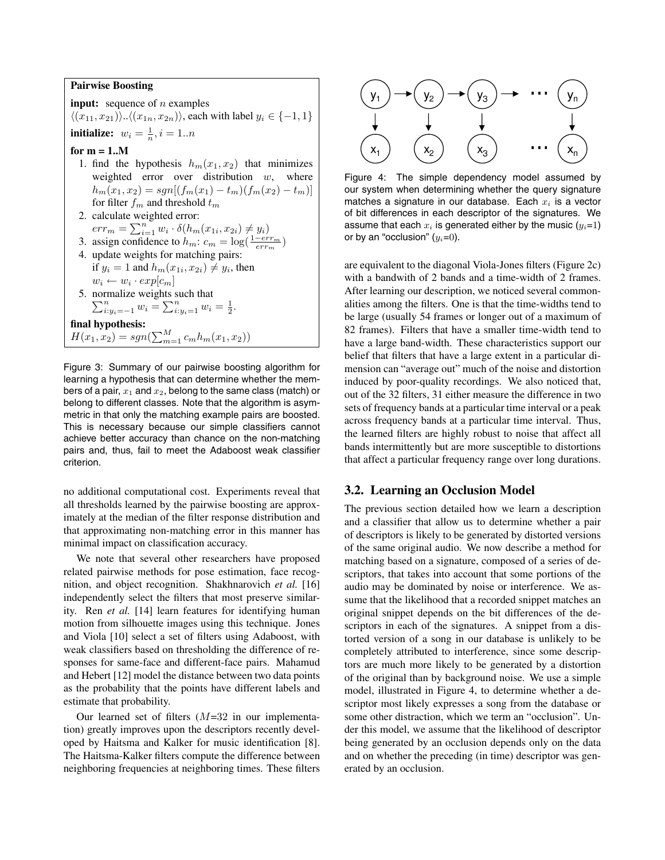#### **Pairwise Boosting**

**input:** sequence of *n* examples

 $\langle (x_{11}, x_{21}) \rangle$ .. $\langle (x_{1n}, x_{2n}) \rangle$ , each with label  $y_i \in \{-1, 1\}$ **initialize:**  $w_i = \frac{1}{n}, i = 1..n$ 

**for m = 1..M**

- 1. find the hypothesis  $h_m(x_1, x_2)$  that minimizes weighted error over distribution  $w$ , where  $h_m(x_1, x_2) = sgn[(f_m(x_1) - t_m)(f_m(x_2) - t_m)]$ for filter  $f_m$  and threshold  $t_m$
- 2. calculate weighted error:  $err_m = \sum_{i=1}^{n} w_i \cdot \delta(h_m(x_{1i}, x_{2i}) \neq y_i)$
- 3. assign confidence to  $h_m$ :  $c_m = \log(\frac{1 err_m}{err_m})$ <br>4. undate weights for matching pairs: 4. update weights for matching pairs:
- if  $y_i = 1$  and  $h_m(x_{1i}, x_{2i}) \neq y_i$ , then  $w_i \leftarrow w_i \cdot exp[c_m]$ 5. normalize weights such that
- $\sum_{i:y_i=-1}^{n} w_i = \sum_{i:y_i=1}^{n} w_i = \frac{1}{2}.$ **final hypothesis:**

 $H(x_1, x_2) = sgn(\sum_{m=1}^{M} c_m h_m(x_1, x_2))$ 

Figure 3: Summary of our pairwise boosting algorithm for learning a hypothesis that can determine whether the members of a pair, *x*<sup>1</sup> and *x*2, belong to the same class (match) or belong to different classes. Note that the algorithm is asymmetric in that only the matching example pairs are boosted. This is necessary because our simple classifiers cannot achieve better accuracy than chance on the non-matching pairs and, thus, fail to meet the Adaboost weak classifier criterion.

no additional computational cost. Experiments reveal that all thresholds learned by the pairwise boosting are approximately at the median of the filter response distribution and that approximating non-matching error in this manner has minimal impact on classification accuracy.

We note that several other researchers have proposed related pairwise methods for pose estimation, face recognition, and object recognition. Shakhnarovich *et al.* [16] independently select the filters that most preserve similarity. Ren *et al.* [14] learn features for identifying human motion from silhouette images using this technique. Jones and Viola [10] select a set of filters using Adaboost, with weak classifiers based on thresholding the difference of responses for same-face and different-face pairs. Mahamud and Hebert [12] model the distance between two data points as the probability that the points have different labels and estimate that probability.

Our learned set of filters  $(M=32$  in our implementation) greatly improves upon the descriptors recently developed by Haitsma and Kalker for music identification [8]. The Haitsma-Kalker filters compute the difference between neighboring frequencies at neighboring times. These filters



Figure 4: The simple dependency model assumed by our system when determining whether the query signature matches a signature in our database. Each *x<sup>i</sup>* is a vector of bit differences in each descriptor of the signatures. We assume that each  $x_i$  is generated either by the music  $(y_i=1)$ or by an "occlusion"  $(y_i=0)$ .

are equivalent to the diagonal Viola-Jones filters (Figure 2c) with a bandwith of 2 bands and a time-width of 2 frames. After learning our description, we noticed several commonalities among the filters. One is that the time-widths tend to be large (usually 54 frames or longer out of a maximum of 82 frames). Filters that have a smaller time-width tend to have a large band-width. These characteristics support our belief that filters that have a large extent in a particular dimension can "average out" much of the noise and distortion induced by poor-quality recordings. We also noticed that, out of the 32 filters, 31 either measure the difference in two sets of frequency bands at a particular time interval or a peak across frequency bands at a particular time interval. Thus, the learned filters are highly robust to noise that affect all bands intermittently but are more susceptible to distortions that affect a particular frequency range over long durations.

### **3.2. Learning an Occlusion Model**

The previous section detailed how we learn a description and a classifier that allow us to determine whether a pair of descriptors is likely to be generated by distorted versions of the same original audio. We now describe a method for matching based on a signature, composed of a series of descriptors, that takes into account that some portions of the audio may be dominated by noise or interference. We assume that the likelihood that a recorded snippet matches an original snippet depends on the bit differences of the descriptors in each of the signatures. A snippet from a distorted version of a song in our database is unlikely to be completely attributed to interference, since some descriptors are much more likely to be generated by a distortion of the original than by background noise. We use a simple model, illustrated in Figure 4, to determine whether a descriptor most likely expresses a song from the database or some other distraction, which we term an "occlusion". Under this model, we assume that the likelihood of descriptor being generated by an occlusion depends only on the data and on whether the preceding (in time) descriptor was generated by an occlusion.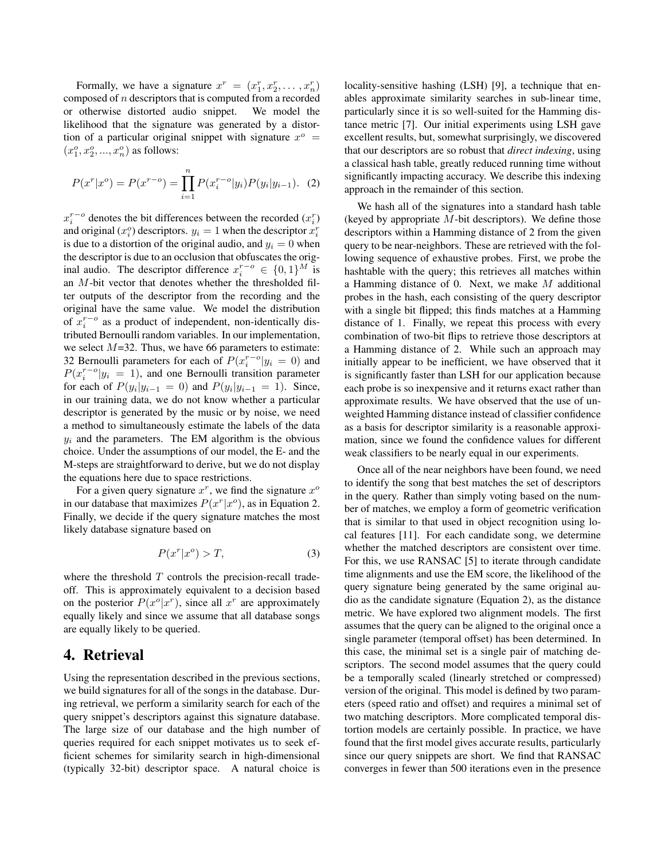Formally, we have a signature  $x^r = (x_1^r, x_2^r, \ldots, x_n^r)$ <br>prosed of *n* descriptors that is computed from a recorder Formany, we have a signature  $x = (x_1, x_2, \dots, x_n)$ <br>
composed of *n* descriptors that is computed from a recorded<br>
or otherwise distorted audio spinnet. We model the or otherwise distorted audio snippet. We model the likelihood that the signature was generated by a distortion of a particular original snippet with signature  $x^{\circ}$  =  $(x_1^o, x_2^o, ..., x_n^o)$  as follows:

$$
P(x^r | x^o) = P(x^{r-o}) = \prod_{i=1}^n P(x_i^{r-o} | y_i) P(y_i | y_{i-1}). \tag{2}
$$

 $x_i^{r-o}$  denotes the bit differences between the recorded  $(x_i^r)$ <br>and original  $(x^o)$  descriptors  $y_i = 1$  when the descriptor  $x^r$ and original  $(x_i^o)$  descriptors.  $y_i = 1$  when the descriptor  $x_i^r$ <br>is due to a distortion of the original audio, and  $y_i = 0$  when is due to a distortion of the original audio, and  $y_i = 0$  when the descriptor is due to an occlusion that obfuscates the original audio. The descriptor difference  $x_i^{r-o} \in \{0,1\}^M$  is<br>an *M*-bit vector that denotes whether the thresholded filan M-bit vector that denotes whether the thresholded filter outputs of the descriptor from the recording and the original have the same value. We model the distribution of  $x_i^{r-o}$  as a product of independent, non-identically distributed Bernoulli random variables. In our implementation tributed Bernoulli random variables. In our implementation, we select  $M=32$ . Thus, we have 66 parameters to estimate: 32 Bernoulli parameters for each of  $P(x_i^{r-o}|y_i = 0)$  and  $P(x^{r-o}|y_i = 1)$  and one Bernoulli transition parameter  $P(x_i^{r-o}|y_i = 1)$ , and one Bernoulli transition parameter<br>for each of  $P(u_i|y_i = 0)$  and  $P(u_i|y_i = 1)$ . Since for each of  $P(y_i|y_{i-1} = 0)$  and  $P(y_i|y_{i-1} = 1)$ . Since, in our training data, we do not know whether a particular descriptor is generated by the music or by noise, we need a method to simultaneously estimate the labels of the data  $y_i$  and the parameters. The EM algorithm is the obvious choice. Under the assumptions of our model, the E- and the M-steps are straightforward to derive, but we do not display the equations here due to space restrictions.

For a given query signature  $x^r$ , we find the signature  $x^o$ in our database that maximizes  $P(x^r|x^o)$ , as in Equation 2. Finally, we decide if the query signature matches the most likely database signature based on

$$
P(x^r|x^o) > T,\t\t(3)
$$

where the threshold  $T$  controls the precision-recall tradeoff. This is approximately equivalent to a decision based on the posterior  $P(x^o|x^r)$ , since all  $x^r$  are approximately equally likely and since we assume that all database songs are equally likely to be queried.

## **4. Retrieval**

Using the representation described in the previous sections, we build signatures for all of the songs in the database. During retrieval, we perform a similarity search for each of the query snippet's descriptors against this signature database. The large size of our database and the high number of queries required for each snippet motivates us to seek efficient schemes for similarity search in high-dimensional (typically 32-bit) descriptor space. A natural choice is

locality-sensitive hashing (LSH) [9], a technique that enables approximate similarity searches in sub-linear time, particularly since it is so well-suited for the Hamming distance metric [7]. Our initial experiments using LSH gave excellent results, but, somewhat surprisingly, we discovered that our descriptors are so robust that *direct indexing*, using a classical hash table, greatly reduced running time without significantly impacting accuracy. We describe this indexing approach in the remainder of this section.

We hash all of the signatures into a standard hash table (keyed by appropriate  $M$ -bit descriptors). We define those descriptors within a Hamming distance of 2 from the given query to be near-neighbors. These are retrieved with the following sequence of exhaustive probes. First, we probe the hashtable with the query; this retrieves all matches within a Hamming distance of 0. Next, we make  $M$  additional probes in the hash, each consisting of the query descriptor with a single bit flipped; this finds matches at a Hamming distance of 1. Finally, we repeat this process with every combination of two-bit flips to retrieve those descriptors at a Hamming distance of 2. While such an approach may initially appear to be inefficient, we have observed that it is significantly faster than LSH for our application because each probe is so inexpensive and it returns exact rather than approximate results. We have observed that the use of unweighted Hamming distance instead of classifier confidence as a basis for descriptor similarity is a reasonable approximation, since we found the confidence values for different weak classifiers to be nearly equal in our experiments.

Once all of the near neighbors have been found, we need to identify the song that best matches the set of descriptors in the query. Rather than simply voting based on the number of matches, we employ a form of geometric verification that is similar to that used in object recognition using local features [11]. For each candidate song, we determine whether the matched descriptors are consistent over time. For this, we use RANSAC [5] to iterate through candidate time alignments and use the EM score, the likelihood of the query signature being generated by the same original audio as the candidate signature (Equation 2), as the distance metric. We have explored two alignment models. The first assumes that the query can be aligned to the original once a single parameter (temporal offset) has been determined. In this case, the minimal set is a single pair of matching descriptors. The second model assumes that the query could be a temporally scaled (linearly stretched or compressed) version of the original. This model is defined by two parameters (speed ratio and offset) and requires a minimal set of two matching descriptors. More complicated temporal distortion models are certainly possible. In practice, we have found that the first model gives accurate results, particularly since our query snippets are short. We find that RANSAC converges in fewer than 500 iterations even in the presence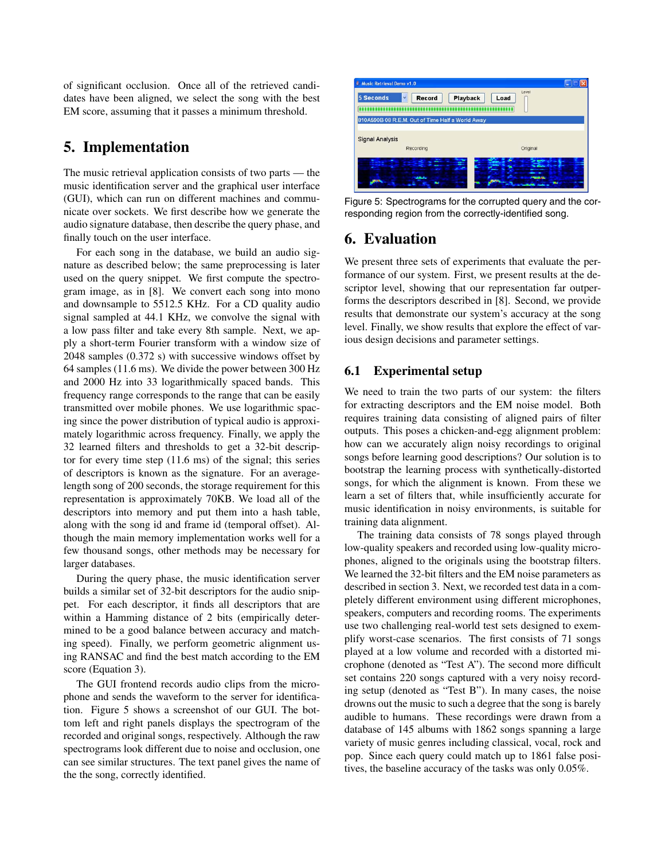of significant occlusion. Once all of the retrieved candidates have been aligned, we select the song with the best EM score, assuming that it passes a minimum threshold.

# **5. Implementation**

The music retrieval application consists of two parts — the music identification server and the graphical user interface (GUI), which can run on different machines and communicate over sockets. We first describe how we generate the audio signature database, then describe the query phase, and finally touch on the user interface.

For each song in the database, we build an audio signature as described below; the same preprocessing is later used on the query snippet. We first compute the spectrogram image, as in [8]. We convert each song into mono and downsample to 5512.5 KHz. For a CD quality audio signal sampled at 44.1 KHz, we convolve the signal with a low pass filter and take every 8th sample. Next, we apply a short-term Fourier transform with a window size of 2048 samples (0.372 s) with successive windows offset by 64 samples (11.6 ms). We divide the power between 300 Hz and 2000 Hz into 33 logarithmically spaced bands. This frequency range corresponds to the range that can be easily transmitted over mobile phones. We use logarithmic spacing since the power distribution of typical audio is approximately logarithmic across frequency. Finally, we apply the 32 learned filters and thresholds to get a 32-bit descriptor for every time step (11.6 ms) of the signal; this series of descriptors is known as the signature. For an averagelength song of 200 seconds, the storage requirement for this representation is approximately 70KB. We load all of the descriptors into memory and put them into a hash table, along with the song id and frame id (temporal offset). Although the main memory implementation works well for a few thousand songs, other methods may be necessary for larger databases.

During the query phase, the music identification server builds a similar set of 32-bit descriptors for the audio snippet. For each descriptor, it finds all descriptors that are within a Hamming distance of 2 bits (empirically determined to be a good balance between accuracy and matching speed). Finally, we perform geometric alignment using RANSAC and find the best match according to the EM score (Equation 3).

The GUI frontend records audio clips from the microphone and sends the waveform to the server for identification. Figure 5 shows a screenshot of our GUI. The bottom left and right panels displays the spectrogram of the recorded and original songs, respectively. Although the raw spectrograms look different due to noise and occlusion, one can see similar structures. The text panel gives the name of the the song, correctly identified.



Figure 5: Spectrograms for the corrupted query and the corresponding region from the correctly-identified song.

# **6. Evaluation**

We present three sets of experiments that evaluate the performance of our system. First, we present results at the descriptor level, showing that our representation far outperforms the descriptors described in [8]. Second, we provide results that demonstrate our system's accuracy at the song level. Finally, we show results that explore the effect of various design decisions and parameter settings.

## **6.1 Experimental setup**

We need to train the two parts of our system: the filters for extracting descriptors and the EM noise model. Both requires training data consisting of aligned pairs of filter outputs. This poses a chicken-and-egg alignment problem: how can we accurately align noisy recordings to original songs before learning good descriptions? Our solution is to bootstrap the learning process with synthetically-distorted songs, for which the alignment is known. From these we learn a set of filters that, while insufficiently accurate for music identification in noisy environments, is suitable for training data alignment.

The training data consists of 78 songs played through low-quality speakers and recorded using low-quality microphones, aligned to the originals using the bootstrap filters. We learned the 32-bit filters and the EM noise parameters as described in section 3. Next, we recorded test data in a completely different environment using different microphones, speakers, computers and recording rooms. The experiments use two challenging real-world test sets designed to exemplify worst-case scenarios. The first consists of 71 songs played at a low volume and recorded with a distorted microphone (denoted as "Test A"). The second more difficult set contains 220 songs captured with a very noisy recording setup (denoted as "Test B"). In many cases, the noise drowns out the music to such a degree that the song is barely audible to humans. These recordings were drawn from a database of 145 albums with 1862 songs spanning a large variety of music genres including classical, vocal, rock and pop. Since each query could match up to 1861 false positives, the baseline accuracy of the tasks was only 0.05%.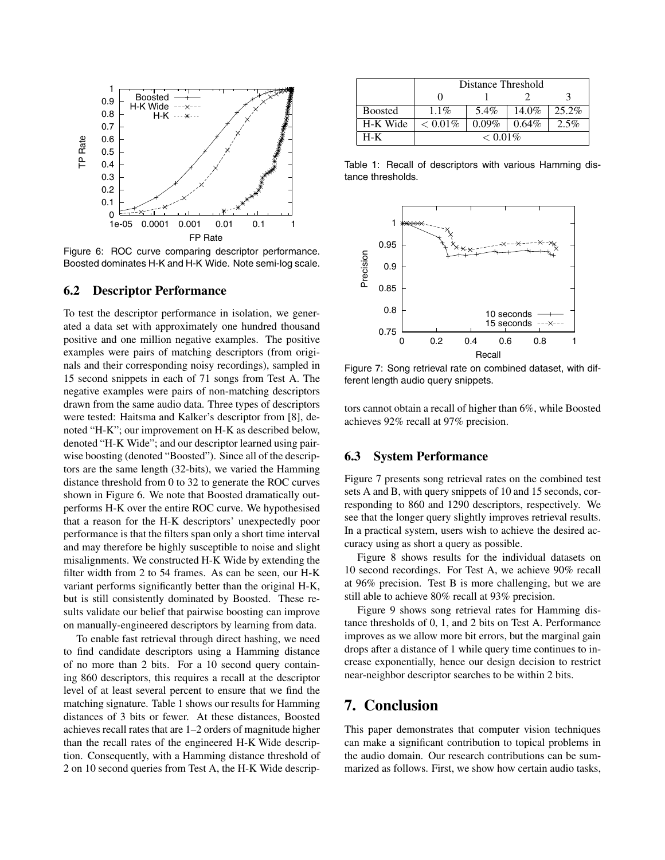

Figure 6: ROC curve comparing descriptor performance. Boosted dominates H-K and H-K Wide. Note semi-log scale.

#### **6.2 Descriptor Performance**

To test the descriptor performance in isolation, we generated a data set with approximately one hundred thousand positive and one million negative examples. The positive examples were pairs of matching descriptors (from originals and their corresponding noisy recordings), sampled in 15 second snippets in each of 71 songs from Test A. The negative examples were pairs of non-matching descriptors drawn from the same audio data. Three types of descriptors were tested: Haitsma and Kalker's descriptor from [8], denoted "H-K"; our improvement on H-K as described below, denoted "H-K Wide"; and our descriptor learned using pairwise boosting (denoted "Boosted"). Since all of the descriptors are the same length (32-bits), we varied the Hamming distance threshold from 0 to 32 to generate the ROC curves shown in Figure 6. We note that Boosted dramatically outperforms H-K over the entire ROC curve. We hypothesised that a reason for the H-K descriptors' unexpectedly poor performance is that the filters span only a short time interval and may therefore be highly susceptible to noise and slight misalignments. We constructed H-K Wide by extending the filter width from 2 to 54 frames. As can be seen, our H-K variant performs significantly better than the original H-K, but is still consistently dominated by Boosted. These results validate our belief that pairwise boosting can improve on manually-engineered descriptors by learning from data.

To enable fast retrieval through direct hashing, we need to find candidate descriptors using a Hamming distance of no more than 2 bits. For a 10 second query containing 860 descriptors, this requires a recall at the descriptor level of at least several percent to ensure that we find the matching signature. Table 1 shows our results for Hamming distances of 3 bits or fewer. At these distances, Boosted achieves recall rates that are 1–2 orders of magnitude higher than the recall rates of the engineered H-K Wide description. Consequently, with a Hamming distance threshold of 2 on 10 second queries from Test A, the H-K Wide descrip-

|                | Distance Threshold |          |          |          |
|----------------|--------------------|----------|----------|----------|
|                |                    |          |          |          |
| <b>Boosted</b> | $1.1\%$            | 5.4%     | 14.0%    | $25.2\%$ |
| H-K Wide       | $< 0.01\%$         | $0.09\%$ | $0.64\%$ | 2.5%     |
| H-K            | $< 0.01\%$         |          |          |          |
|                |                    |          |          |          |

Table 1: Recall of descriptors with various Hamming distance thresholds.



Figure 7: Song retrieval rate on combined dataset, with different length audio query snippets.

tors cannot obtain a recall of higher than 6%, while Boosted achieves 92% recall at 97% precision.

#### **6.3 System Performance**

Figure 7 presents song retrieval rates on the combined test sets A and B, with query snippets of 10 and 15 seconds, corresponding to 860 and 1290 descriptors, respectively. We see that the longer query slightly improves retrieval results. In a practical system, users wish to achieve the desired accuracy using as short a query as possible.

Figure 8 shows results for the individual datasets on 10 second recordings. For Test A, we achieve 90% recall at 96% precision. Test B is more challenging, but we are still able to achieve 80% recall at 93% precision.

Figure 9 shows song retrieval rates for Hamming distance thresholds of 0, 1, and 2 bits on Test A. Performance improves as we allow more bit errors, but the marginal gain drops after a distance of 1 while query time continues to increase exponentially, hence our design decision to restrict near-neighbor descriptor searches to be within 2 bits.

# **7. Conclusion**

This paper demonstrates that computer vision techniques can make a significant contribution to topical problems in the audio domain. Our research contributions can be summarized as follows. First, we show how certain audio tasks,